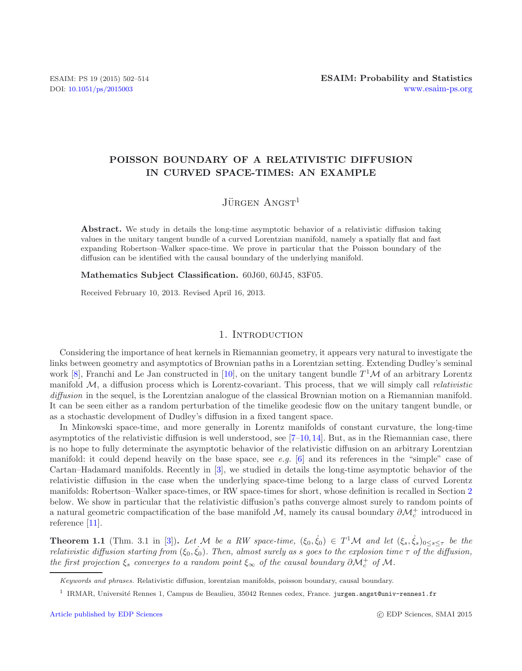# **POISSON BOUNDARY OF A RELATIVISTIC DIFFUSION IN CURVED SPACE-TIMES: AN EXAMPLE**

# $J\ddot{\text{U}}$ rgen Angst<sup>1</sup>

**Abstract.** We study in details the long-time asymptotic behavior of a relativistic diffusion taking values in the unitary tangent bundle of a curved Lorentzian manifold, namely a spatially flat and fast expanding Robertson–Walker space-time. We prove in particular that the Poisson boundary of the diffusion can be identified with the causal boundary of the underlying manifold.

**Mathematics Subject Classification.** 60J60, 60J45, 83F05.

Received February 10, 2013. Revised April 16, 2013.

## 1. INTRODUCTION

Considering the importance of heat kernels in Riemannian geometry, it appears very natural to investigate the links between geometry and asymptotics of Brownian paths in a Lorentzian setting. Extending Dudley's seminal work [\[8](#page-12-0)], Franchi and Le Jan constructed in [\[10\]](#page-12-1), on the unitary tangent bundle  $T^{1}M$  of an arbitrary Lorentz manifold M, a diffusion process which is Lorentz-covariant. This process, that we will simply call *relativistic diffusion* in the sequel, is the Lorentzian analogue of the classical Brownian motion on a Riemannian manifold. It can be seen either as a random perturbation of the timelike geodesic flow on the unitary tangent bundle, or as a stochastic development of Dudley's diffusion in a fixed tangent space.

In Minkowski space-time, and more generally in Lorentz manifolds of constant curvature, the long-time asymptotics of the relativistic diffusion is well understood, see  $[7-10,14]$  $[7-10,14]$  $[7-10,14]$ . But, as in the Riemannian case, there is no hope to fully determinate the asymptotic behavior of the relativistic diffusion on an arbitrary Lorentzian manifold: it could depend heavily on the base space, see *e.g.* [\[6\]](#page-12-4) and its references in the "simple" case of Cartan–Hadamard manifolds. Recently in [\[3](#page-12-5)], we studied in details the long-time asymptotic behavior of the relativistic diffusion in the case when the underlying space-time belong to a large class of curved Lorentz manifolds: Robertson–Walker space-times, or RW space-times for short, whose definition is recalled in Section [2](#page-1-0) below. We show in particular that the relativistic diffusion's paths converge almost surely to random points of a natural geometric compactification of the base manifold  $\mathcal{M}$ , namely its causal boundary  $\partial \mathcal{M}_c^+$  introduced in reference [\[11](#page-12-6)].

**Theorem 1.1** (Thm. 3.1 in [\[3](#page-12-5)]). Let M be a RW space-time,  $(\xi_0, \dot{\xi}_0) \in T^1 \mathcal{M}$  and let  $(\xi_s, \dot{\xi}_s)_{0 \le s \le \tau}$  be the *relativistic diffusion starting from*  $(\xi_0, \dot{\xi}_0)$ *. Then, almost surely as s goes to the explosion time*  $\tau$  *of the diffusion, the first projection*  $\xi_s$  *converges to a random point*  $\xi_{\infty}$  *of the causal boundary*  $\partial \mathcal{M}_c^+$  *of*  $\mathcal{M}$ *.* 

Keywords and phrases. Relativistic diffusion, lorentzian manifolds, poisson boundary, causal boundary.

<sup>&</sup>lt;sup>1</sup> IRMAR, Université Rennes 1, Campus de Beaulieu, 35042 Rennes cedex, France. jurgen.angst@univ-rennes1.fr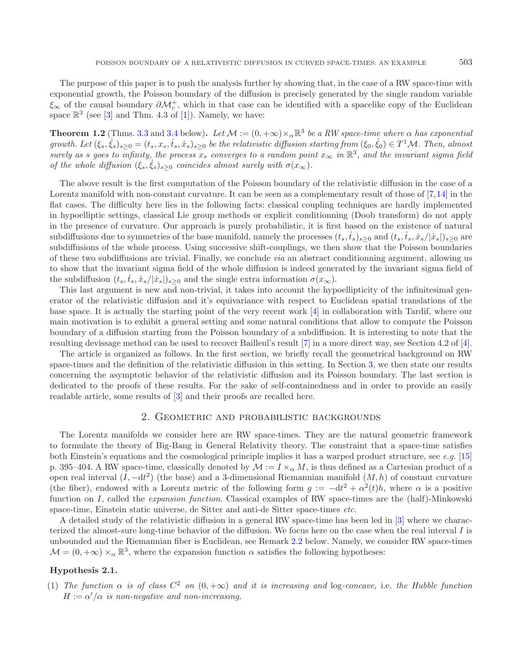**Theorem 1.2** (Thms. [3.3](#page-4-0) and [3.4](#page-4-1) below). Let  $\mathcal{M} := (0, +\infty) \times_{\alpha} \mathbb{R}^3$  be a RW space-time where  $\alpha$  has exponential  $growth.$  Let  $(\xi_s, \dot{\xi}_s)_{s\geq 0} = (t_s, x_s, \dot{t}_s, \dot{x}_s)_{s\geq 0}$  be the relativistic diffusion starting from  $(\xi_0, \dot{\xi}_0) \in T^1 \mathcal{M}$ . Then, almost *surely as s goes to infinity, the process*  $x_s$  *converges to a random point*  $x_\infty$  *in*  $\mathbb{R}^3$ *, and the invariant sigma field of the whole diffusion*  $(\xi_s, \dot{\xi}_s)_{s \geq 0}$  *coincides almost surely with*  $\sigma(x_\infty)$ *.* 

The above result is the first computation of the Poisson boundary of the relativistic diffusion in the case of a Lorentz manifold with non-constant curvature. It can be seen as a complementary result of those of [\[7,](#page-12-2)[14](#page-12-3)] in the flat cases. The difficulty here lies in the following facts: classical coupling techniques are hardly implemented in hypoelliptic settings, classical Lie group methods or explicit conditionning (Doob transform) do not apply in the presence of curvature. Our approach is purely probabilistic, it is first based on the existence of natural subdiffusions due to symmetries of the base manifold, namely the processes  $(t_s, t_s)_{s\geq0}$  and  $(t_s, t_s, x_s/|\dot{x}_s|)_{s\geq0}$  are subdiffusions of the whole process. Using successive shift-couplings, we then show that the Poisson boundaries of these two subdiffusions are trivial. Finally, we conclude *via* an abstract conditionning argument, allowing us to show that the invariant sigma field of the whole diffusion is indeed generated by the invariant sigma field of the subdiffusion  $(t_s, t_s, x_s/|x_s|)_{s\geq 0}$  and the single extra information  $\sigma(x_\infty)$ .

This last argument is new and non-trivial, it takes into account the hypoellipticity of the infinitesimal generator of the relativistic diffusion and it's equivariance with respect to Euclidean spatial translations of the base space. It is actually the starting point of the very recent work [\[4\]](#page-12-8) in collaboration with Tardif, where our main motivation is to exhibit a general setting and some natural conditions that allow to compute the Poisson boundary of a diffusion starting from the Poisson boundary of a subdiffusion. It is interesting to note that the resulting devissage method can be used to recover Bailleul's result [\[7](#page-12-2)] in a more direct way, see Section 4.2 of [\[4](#page-12-8)].

The article is organized as follows. In the first section, we briefly recall the geometrical background on RW space-times and the definition of the relativistic diffusion in this setting. In Section [3,](#page-3-0) we then state our results concerning the asymptotic behavior of the relativistic diffusion and its Poisson boundary. The last section is dedicated to the proofs of these results. For the sake of self-containedness and in order to provide an easily readable article, some results of [\[3\]](#page-12-5) and their proofs are recalled here.

## 2. Geometric and probabilistic backgrounds

<span id="page-1-0"></span>The Lorentz manifolds we consider here are RW space-times. They are the natural geometric framework to formulate the theory of Big-Bang in General Relativity theory. The constraint that a space-time satisfies both Einstein's equations and the cosmological principle implies it has a warped product structure, see *e.g.* [\[15\]](#page-12-9) p. 395–404. A RW space-time, classically denoted by  $\mathcal{M} := I \times_{\alpha} M$ , is thus defined as a Cartesian product of a open real interval  $(I, -dt^2)$  (the base) and a 3-dimensional Riemannian manifold  $(M, h)$  of constant curvature (the fiber), endowed with a Lorentz metric of the following form  $g := -dt^2 + \alpha^2(t)h$ , where  $\alpha$  is a positive function on I, called the *expansion function*. Classical examples of RW space-times are the (half)-Minkowski space-time, Einstein static universe, de Sitter and anti-de Sitter space-times *etc.*

A detailed study of the relativistic diffusion in a general RW space-time has been led in [\[3](#page-12-5)] where we characterized the almost-sure long-time behavior of the diffusion. We focus here on the case when the real interval I is unbounded and the Riemannian fiber is Euclidean, see Remark [2.2](#page-2-0) below. Namely, we consider RW space-times  $M = (0, +\infty) \times_{\alpha} \mathbb{R}^3$ , where the expansion function  $\alpha$  satisfies the following hypotheses:

# **Hypothesis 2.1.**

(1) *The function*  $\alpha$  *is of class*  $C^2$  *on*  $(0, +\infty)$  *and it is increasing and* log-*concave*, i.e. *the Hubble function*  $H := \alpha'/\alpha$  is non-negative and non-increasing.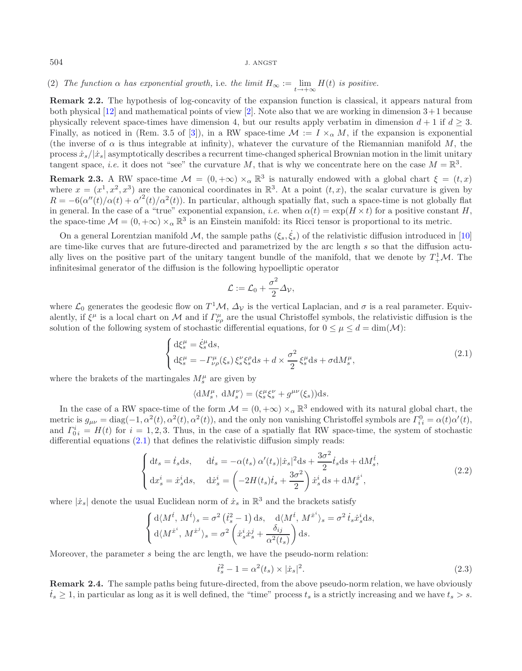<span id="page-2-0"></span>(2) *The function*  $\alpha$  *has exponential growth,* i.e. *the limit*  $H_{\infty} := \lim_{\epsilon \to 0^+} H(t)$  *is positive.* 

**Remark 2.2.** The hypothesis of log-concavity of the expansion function is classical, it appears natural from both physical  $[12]$  $[12]$  and mathematical points of view  $[2]$  $[2]$ . Note also that we are working in dimension  $3+1$  because physically relevent space-times have dimension 4, but our results apply verbatim in dimension  $d + 1$  if  $d \geq 3$ . Finally, as noticed in (Rem. 3.5 of [\[3\]](#page-12-5)), in a RW space-time  $\mathcal{M} := I \times_{\alpha} M$ , if the expansion is exponential (the inverse of  $\alpha$  is thus integrable at infinity), whatever the curvature of the Riemannian manifold M, the process  $\dot{x}_s/|\dot{x}_s|$  asymptotically describes a recurrent time-changed spherical Brownian motion in the limit unitary tangent space, *i.e.* it does not "see" the curvature M, that is why we concentrate here on the case  $M = \mathbb{R}^3$ .

**Remark 2.3.** A RW space-time  $\mathcal{M} = (0, +\infty) \times_{\alpha} \mathbb{R}^{3}$  is naturally endowed with a global chart  $\xi = (t, x)$ where  $x = (x^1, x^2, x^3)$  are the canonical coordinates in  $\mathbb{R}^3$ . At a point  $(t, x)$ , the scalar curvature is given by  $R = -6(\alpha''(t)/\alpha(t) + {\alpha'}^2(t)/\alpha^2(t))$ . In particular, although spatially flat, such a space-time is not globally flat in general. In the case of a "true" exponential expansion, *i.e.* when  $\alpha(t) = \exp(H \times t)$  for a positive constant H, the space-time  $\mathcal{M} = (0, +\infty) \times_{\alpha} \mathbb{R}^3$  is an Einstein manifold: its Ricci tensor is proportional to its metric.

On a general Lorentzian manifold M, the sample paths  $(\xi_s, \dot{\xi}_s)$  of the relativistic diffusion introduced in [\[10\]](#page-12-1) are time-like curves that are future-directed and parametrized by the arc length s so that the diffusion actually lives on the positive part of the unitary tangent bundle of the manifold, that we denote by  $T^1_+\mathcal{M}$ . The infinitesimal generator of the diffusion is the following hypoelliptic operator

<span id="page-2-2"></span><span id="page-2-1"></span>
$$
\mathcal{L} := \mathcal{L}_0 + \frac{\sigma^2}{2} \Delta_{\mathcal{V}},
$$

where  $\mathcal{L}_0$  generates the geodesic flow on  $T^1M$ ,  $\Delta_{\mathcal{V}}$  is the vertical Laplacian, and  $\sigma$  is a real parameter. Equivalently, if  $\xi^{\mu}$  is a local chart on M and if  $\Gamma^{\mu}_{\nu\rho}$  are the usual Christoffel symbols, the relativistic diffusion is the solution of the following system of stochastic differential equations, for  $0 \leq \mu \leq d = \dim(\mathcal{M})$ :

$$
\begin{cases} d\xi_s^{\mu} = \dot{\xi}_s^{\mu} ds, \\ d\xi_s^{\mu} = -\Gamma_{\nu\rho}^{\mu}(\xi_s) \, \xi_s^{\nu} \xi_s^{\rho} ds + d \times \frac{\sigma^2}{2} \, \xi_s^{\mu} ds + \sigma dM_s^{\mu}, \end{cases} \tag{2.1}
$$

where the brakets of the martingales  $M_s^{\mu}$  are given by

<span id="page-2-4"></span>
$$
\langle \mathrm{d}M_s^\mu,\ \mathrm{d}M_s^\nu \rangle = (\xi_s^\mu \xi_s^\nu + g^{\mu\nu}(\xi_s)) \mathrm{d} s.
$$

In the case of a RW space-time of the form  $\mathcal{M} = (0, +\infty) \times_{\alpha} \mathbb{R}^3$  endowed with its natural global chart, the metric is  $g_{\mu\nu} = \text{diag}(-1, \alpha^2(t), \alpha^2(t), \alpha^2(t))$ , and the only non vanishing Christoffel symbols are  $\Gamma_{ii}^0 = \alpha(t)\alpha'(t)$ , and  $\Gamma_{0i}^{i} = H(t)$  for  $i = 1, 2, 3$ . Thus, in the case of a spatially flat RW space-time, the system of stochastic differential equations [\(2.1\)](#page-2-1) that defines the relativistic diffusion simply reads:

$$
\begin{cases} \mathrm{d}t_s = \dot{t}_s \mathrm{d}s, & \mathrm{d}\dot{t}_s = -\alpha(t_s) \alpha'(t_s) |\dot{x}_s|^2 \mathrm{d}s + \frac{3\sigma^2}{2} \dot{t}_s \mathrm{d}s + \mathrm{d}M_s^{\dot{t}},\\ \mathrm{d}x_s^i = \dot{x}_s^i \mathrm{d}s, & \mathrm{d}\dot{x}_s^i = \left(-2H(t_s)\dot{t}_s + \frac{3\sigma^2}{2}\right) \dot{x}_s^i \mathrm{d}s + \mathrm{d}M_s^{\dot{x}^i}, \end{cases} \tag{2.2}
$$

where  $|\dot{x}_s|$  denote the usual Euclidean norm of  $\dot{x}_s$  in  $\mathbb{R}^3$  and the brackets satisfy

$$
\begin{cases} d\langle M^{\dot{t}}, M^{\dot{t}} \rangle_s = \sigma^2 \left( \dot{t}_s^2 - 1 \right) ds, \quad d\langle M^{\dot{t}}, M^{\dot{x}^i} \rangle_s = \sigma^2 \, \dot{t}_s \dot{x}_s^i ds, \\ d\langle M^{\dot{x}^i}, M^{\dot{x}^j} \rangle_s = \sigma^2 \left( \dot{x}_s^i \dot{x}_s^j + \frac{\delta_{ij}}{\alpha^2(t_s)} \right) ds. \end{cases}
$$

Moreover, the parameter s being the arc length, we have the pseudo-norm relation:

$$
\dot{t}_s^2 - 1 = \alpha^2(t_s) \times |\dot{x}_s|^2.
$$
\n(2.3)

<span id="page-2-3"></span>**Remark 2.4.** The sample paths being future-directed, from the above pseudo-norm relation, we have obviously  $\dot{t}_s \geq 1$ , in particular as long as it is well defined, the "time" process  $t_s$  is a strictly increasing and we have  $t_s > s$ .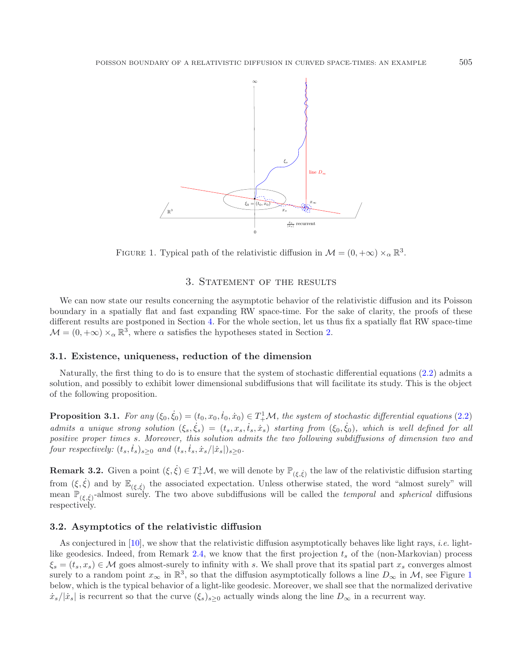<span id="page-3-1"></span>

FIGURE 1. Typical path of the relativistic diffusion in  $\mathcal{M} = (0, +\infty) \times_{\alpha} \mathbb{R}^3$ .

## 3. STATEMENT OF THE RESULTS

<span id="page-3-0"></span>We can now state our results concerning the asymptotic behavior of the relativistic diffusion and its Poisson boundary in a spatially flat and fast expanding RW space-time. For the sake of clarity, the proofs of these different results are postponed in Section [4.](#page-5-0) For the whole section, let us thus fix a spatially flat RW space-time  $\mathcal{M} = (0, +\infty) \times_{\alpha} \mathbb{R}^3$ , where  $\alpha$  satisfies the hypotheses stated in Section [2.](#page-1-0)

## **3.1. Existence, uniqueness, reduction of the dimension**

Naturally, the first thing to do is to ensure that the system of stochastic differential equations [\(2.2\)](#page-2-2) admits a solution, and possibly to exhibit lower dimensional subdiffusions that will facilitate its study. This is the object of the following proposition.

<span id="page-3-2"></span>**Proposition 3.1.** For any  $(\xi_0, \dot{\xi}_0) = (t_0, x_0, \dot{t}_0, \dot{x}_0) \in T^1_+\mathcal{M}$ , the system of stochastic differential equations [\(2.2\)](#page-2-2) *admits a unique strong solution*  $(\xi_s, \dot{\xi}_s) = (t_s, x_s, \dot{t}_s, \dot{x}_s)$  *starting from*  $(\xi_0, \dot{\xi}_0)$ *, which is well defined for all positive proper times* s*. Moreover, this solution admits the two following subdiffusions of dimension two and four respectively:*  $(t_s, \dot{t}_s)_{s \geq 0}$  *and*  $(t_s, \dot{t}_s, \dot{x}_s/|\dot{x}_s|)_{s \geq 0}$ *.* 

**Remark 3.2.** Given a point  $(\xi, \dot{\xi}) \in T^1_+ \mathcal{M}$ , we will denote by  $\mathbb{P}_{(\xi, \dot{\xi})}$  the law of the relativistic diffusion starting from  $(\xi, \dot{\xi})$  and by  $\mathbb{E}_{(\xi, \dot{\xi})}$  the associated expectation. Unless otherwise stated, the word "almost surely" will mean  $\mathbb{P}_{(\xi,\xi)}$ -almost surely. The two above subdiffusions will be called the *temporal* and *spherical* diffusions respectively.

## <span id="page-3-3"></span>**3.2. Asymptotics of the relativistic diffusion**

As conjectured in [\[10](#page-12-1)], we show that the relativistic diffusion asymptotically behaves like light rays, *i.e.* light-like geodesics. Indeed, from Remark [2.4,](#page-2-3) we know that the first projection  $t_s$  of the (non-Markovian) process  $\xi_s = (t_s, x_s) \in \mathcal{M}$  goes almost-surely to infinity with s. We shall prove that its spatial part  $x_s$  converges almost surely to a random point  $x_{\infty}$  in  $\mathbb{R}^{3}$ , so that the diffusion asymptotically follows a line  $D_{\infty}$  in M, see Figure [1](#page-3-1) below, which is the typical behavior of a light-like geodesic. Moreover, we shall see that the normalized derivative  $\dot{x}_s/|\dot{x}_s|$  is recurrent so that the curve  $(\xi_s)_{s>0}$  actually winds along the line  $D_\infty$  in a recurrent way.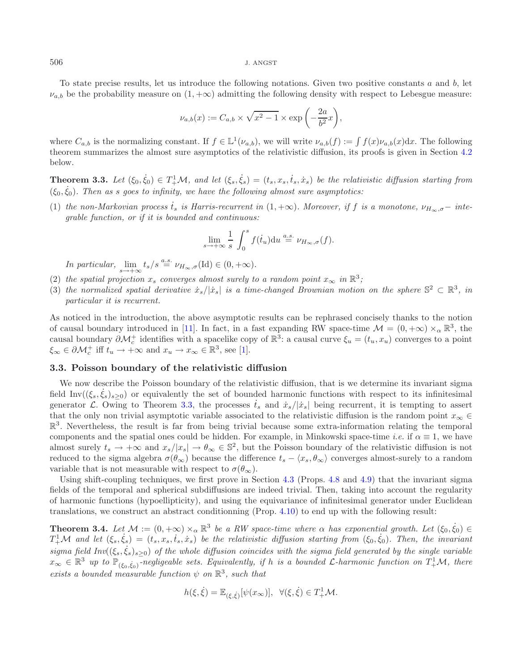To state precise results, let us introduce the following notations. Given two positive constants  $a$  and  $b$ , let  $\nu_{a,b}$  be the probability measure on  $(1, +\infty)$  admitting the following density with respect to Lebesgue measure:

$$
\nu_{a,b}(x) := C_{a,b} \times \sqrt{x^2 - 1} \times \exp\left(-\frac{2a}{b^2}x\right),\,
$$

where  $C_{a,b}$  is the normalizing constant. If  $f \in L^1(\nu_{a,b})$ , we will write  $\nu_{a,b}(f) := \int f(x)\nu_{a,b}(x)dx$ . The following theorem summarizes the almost sure asymptotics of the relativistic diffusion, its proofs is given in Section [4.2](#page-6-0) below.

<span id="page-4-0"></span>**Theorem 3.3.** Let  $(\xi_0, \dot{\xi}_0) \in T^1_+ \mathcal{M}$ , and let  $(\xi_s, \dot{\xi}_s) = (t_s, x_s, \dot{t}_s, \dot{x}_s)$  be the relativistic diffusion starting from  $(\xi_0, \dot{\xi}_0)$ . Then as *s* goes to infinity, we have the following almost sure asymptotics:

(1) the non-Markovian process  $\dot{t}_s$  is Harris-recurrent in  $(1, +\infty)$ . Moreover, if f is a monotone,  $\nu_{H_{\infty},\sigma}-$  inte*grable function, or if it is bounded and continuous:*

$$
\lim_{s \to +\infty} \frac{1}{s} \int_0^s f(\dot{t}_u) \mathrm{d}u \stackrel{a.s.}{=} \nu_{H_\infty,\sigma}(f).
$$

*In particular,*  $\lim_{s \to +\infty} t_s/s \stackrel{a.s.}{=} \nu_{H_\infty,\sigma}(\text{Id}) \in (0, +\infty)$ .

- (2) *the spatial projection*  $x_s$  *converges almost surely to a random point*  $x_\infty$  *in*  $\mathbb{R}^3$ *;*
- (3) the normalized spatial derivative  $\dot{x}_s/|\dot{x}_s|$  is a time-changed Brownian motion on the sphere  $\mathbb{S}^2 \subset \mathbb{R}^3$ , in *particular it is recurrent.*

As noticed in the introduction, the above asymptotic results can be rephrased concisely thanks to the notion of causal boundary introduced in [\[11](#page-12-6)]. In fact, in a fast expanding RW space-time  $\mathcal{M} = (0, +\infty) \times_{\alpha} \mathbb{R}^3$ , the causal boundary  $\partial \mathcal{M}_c^+$  identifies with a spacelike copy of  $\mathbb{R}^3$ : a causal curve  $\xi_u = (t_u, x_u)$  converges to a point  $\xi_{\infty} \in \partial \mathcal{M}_c^+$  iff  $t_u \to +\infty$  and  $x_u \to x_{\infty} \in \mathbb{R}^3$ , see [\[1](#page-12-7)].

# **3.3. Poisson boundary of the relativistic diffusion**

We now describe the Poisson boundary of the relativistic diffusion, that is we determine its invariant sigma field Inv( $(\xi_s, \xi_s)_{s\geq 0}$ ) or equivalently the set of bounded harmonic functions with respect to its infinitesimal generator L. Owing to Theorem [3.3,](#page-4-0) the processes  $\dot{t}_s$  and  $\dot{x}_s/|\dot{x}_s|$  being recurrent, it is tempting to assert that the only non trivial asymptotic variable associated to the relativistic diffusion is the random point  $x_{\infty} \in$  $\mathbb{R}^3$ . Nevertheless, the result is far from being trivial because some extra-information relating the temporal components and the spatial ones could be hidden. For example, in Minkowski space-time *i.e.* if  $\alpha \equiv 1$ , we have almost surely  $t_s \to +\infty$  and  $x_s/|x_s| \to \theta_\infty \in \mathbb{S}^2$ , but the Poisson boundary of the relativistic diffusion is not reduced to the sigma algebra  $\sigma(\theta_{\infty})$  because the difference  $t_s - \langle x_s, \theta_{\infty} \rangle$  converges almost-surely to a random variable that is not measurable with respect to  $\sigma(\theta_{\infty})$ .

Using shift-coupling techniques, we first prove in Section [4.3](#page-7-0) (Props. [4.8](#page-7-1) and [4.9\)](#page-9-0) that the invariant sigma fields of the temporal and spherical subdiffusions are indeed trivial. Then, taking into account the regularity of harmonic functions (hypoellipticity), and using the equivariance of infinitesimal generator under Euclidean translations, we construct an abstract conditionning (Prop. [4.10\)](#page-10-0) to end up with the following result:

<span id="page-4-1"></span>**Theorem 3.4.** *Let*  $M := (0, +\infty) \times_{\alpha} \mathbb{R}^3$  *be a RW space-time where*  $\alpha$  *has exponential growth. Let*  $(\xi_0, \dot{\xi}_0) \in$  $T^1_+\mathcal{M}$  and let  $(\xi_s, \dot{\xi_s})=(t_s, x_s, \dot{t}_s, \dot{x}_s)$  be the relativistic diffusion starting from  $(\xi_0, \dot{\xi}_0)$ . Then, the invariant  $sigma$  field  $Inv((\xi_s, \dot{\xi}_s)_{s\geq 0})$  of the whole diffusion coincides with the sigma field generated by the single variable  $x_\infty \in \mathbb{R}^3$  up to  $\mathbb{P}_{(\xi_0,\dot{\xi}_0)}$ -negligeable sets. Equivalently, if h is a bounded L-harmonic function on  $T^1_+\mathcal{M}$ , there *exists a bounded measurable function*  $\psi$  *on*  $\mathbb{R}^3$ *, such that* 

$$
h(\xi, \dot{\xi}) = \mathbb{E}_{(\xi, \dot{\xi})}[\psi(x_{\infty})], \ \ \forall (\xi, \dot{\xi}) \in T^1_+ \mathcal{M}.
$$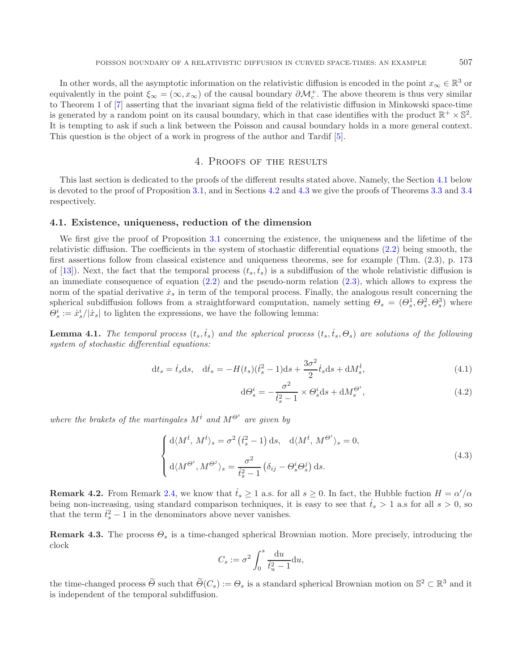In other words, all the asymptotic information on the relativistic diffusion is encoded in the point  $x_{\infty} \in \mathbb{R}^3$  or equivalently in the point  $\xi_{\infty} = (\infty, x_{\infty})$  of the causal boundary  $\partial \mathcal{M}_c^+$ . The above theorem is thus very similar to Theorem 1 of [\[7\]](#page-12-2) asserting that the invariant sigma field of the relativistic diffusion in Minkowski space-time is generated by a random point on its causal boundary, which in that case identifies with the product  $\mathbb{R}^+ \times \mathbb{S}^2$ . It is tempting to ask if such a link between the Poisson and causal boundary holds in a more general context. This question is the object of a work in progress of the author and Tardif [\[5\]](#page-12-12).

# 4. Proofs of the results

<span id="page-5-0"></span>This last section is dedicated to the proofs of the different results stated above. Namely, the Section [4.1](#page-5-1) below is devoted to the proof of Proposition [3.1,](#page-3-2) and in Sections [4.2](#page-6-0) and [4.3](#page-7-0) we give the proofs of Theorems [3.3](#page-4-0) and [3.4](#page-4-1) respectively.

#### <span id="page-5-1"></span>**4.1. Existence, uniqueness, reduction of the dimension**

We first give the proof of Proposition [3.1](#page-3-2) concerning the existence, the uniqueness and the lifetime of the relativistic diffusion. The coefficients in the system of stochastic differential equations [\(2.2\)](#page-2-2) being smooth, the first assertions follow from classical existence and uniqueness theorems, see for example (Thm. (2.3), p. 173 of [\[13](#page-12-13)]). Next, the fact that the temporal process  $(t_s, \dot{t}_s)$  is a subdiffusion of the whole relativistic diffusion is an immediate consequence of equation [\(2.2\)](#page-2-2) and the pseudo-norm relation [\(2.3\)](#page-2-4), which allows to express the norm of the spatial derivative  $\dot{x}_s$  in term of the temporal process. Finally, the analogous result concerning the spherical subdiffusion follows from a straightforward computation, namely setting  $\Theta_s = (\Theta_s^1, \Theta_s^2, \Theta_s^3)$  where  $\Theta_s^i := \dot{x}_s^i / |\dot{x}_s|$  to lighten the expressions, we have the following lemma:

<span id="page-5-2"></span>**Lemma 4.1.** *The temporal process*  $(t_s, \dot{t}_s)$  *and the spherical process*  $(t_s, \dot{t}_s, \Theta_s)$  *are solutions of the following system of stochastic differential equations:*

$$
dt_s = \dot{t}_s ds, \quad d\dot{t}_s = -H(t_s)(\dot{t}_s^2 - 1)ds + \frac{3\sigma^2}{2}\dot{t}_s ds + dM_s^{\dot{t}},\tag{4.1}
$$

<span id="page-5-4"></span>
$$
d\Theta_s^i = -\frac{\sigma^2}{t_s^2 - 1} \times \Theta_s^i ds + dM_s^{\Theta^i},\tag{4.2}
$$

*where the brakets of the martingales*  $M^{\dot{\tau}}$  *and*  $M^{\Theta^i}$  *are given by* 

$$
\begin{cases} d\langle M^{\dot{t}}, M^{\dot{t}}\rangle_s = \sigma^2 \left(\dot{t}_s^2 - 1\right) ds, & d\langle M^{\dot{t}}, M^{\Theta^i}\rangle_s = 0, \\ d\langle M^{\Theta^i}, M^{\Theta^j}\rangle_s = \frac{\sigma^2}{\dot{t}_s^2 - 1} \left(\delta_{ij} - \Theta_s^i \Theta_s^j\right) ds. \end{cases}
$$
(4.3)

**Remark 4.2.** From Remark [2.4,](#page-2-3) we know that  $\dot{t}_s \ge 1$  a.s. for all  $s \ge 0$ . In fact, the Hubble fuction  $H = \alpha'/\alpha$ being non-increasing, using standard comparison techniques, it is easy to see that  $\dot{t}_s > 1$  a.s for all  $s > 0$ , so that the term  $\dot{t}_s^2 - 1$  in the denominators above never vanishes.

<span id="page-5-3"></span>**Remark 4.3.** The process  $\Theta_s$  is a time-changed spherical Brownian motion. More precisely, introducing the clock

$$
C_s := \sigma^2 \int_0^s \frac{\mathrm{d}u}{\dot{t}_u^2 - 1} \mathrm{d}u,
$$

the time-changed process  $\widetilde{\Theta}$  such that  $\widetilde{\Theta}(C_s) := \Theta_s$  is a standard spherical Brownian motion on  $\mathbb{S}^2 \subset \mathbb{R}^3$  and it is independent of the temporal subdiffusion.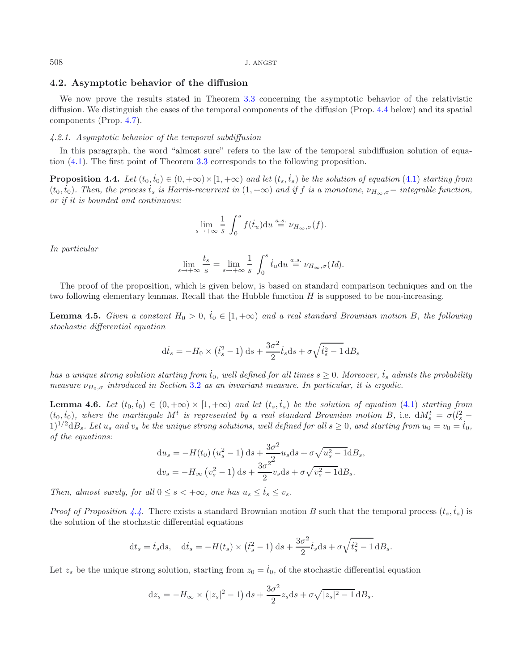## <span id="page-6-0"></span>**4.2. Asymptotic behavior of the diffusion**

We now prove the results stated in Theorem [3.3](#page-4-0) concerning the asymptotic behavior of the relativistic diffusion. We distinguish the cases of the temporal components of the diffusion (Prop. [4.4](#page-6-1) below) and its spatial components (Prop. [4.7\)](#page-7-2).

## *4.2.1. Asymptotic behavior of the temporal subdiffusion*

In this paragraph, the word "almost sure" refers to the law of the temporal subdiffusion solution of equation [\(4.1\)](#page-5-2). The first point of Theorem [3.3](#page-4-0) corresponds to the following proposition.

**Proposition 4.4.** Let  $(t_0, \dot{t}_0) \in (0, +\infty) \times [1, +\infty)$  and let  $(t_s, \dot{t}_s)$  be the solution of equation [\(4.1\)](#page-5-2) starting from  $(t_0, t_0)$ . Then, the process  $t_s$  is Harris-recurrent in  $(1, +\infty)$  and if f is a monotone,  $\nu_{H_\infty, \sigma}$  – integrable function, *or if it is bounded and continuous:*

<span id="page-6-1"></span>
$$
\lim_{s \to +\infty} \frac{1}{s} \int_0^s f(\dot{t}_u) \mathrm{d}u \stackrel{a.s.}{=} \nu_{H_\infty,\sigma}(f).
$$

*In particular*

$$
\lim_{s \to +\infty} \frac{t_s}{s} = \lim_{s \to +\infty} \frac{1}{s} \int_0^s \dot{t}_u \mathrm{d}u \stackrel{a.s.}{=} \nu_{H_\infty,\sigma}(Id).
$$

<span id="page-6-3"></span>The proof of the proposition, which is given below, is based on standard comparison techniques and on the two following elementary lemmas. Recall that the Hubble function  $H$  is supposed to be non-increasing.

**Lemma 4.5.** *Given a constant*  $H_0 > 0$ ,  $\dot{t}_0 \in [1, +\infty)$  *and a real standard Brownian motion* B, the following *stochastic differential equation*

$$
\mathrm{d}\dot{t}_s = -H_0 \times \left(\dot{t}_s^2 - 1\right) \mathrm{d}s + \frac{3\sigma^2}{2} \dot{t}_s \mathrm{d}s + \sigma \sqrt{\dot{t}_s^2 - 1} \mathrm{d}B_s
$$

 $has~a~unique~strong~solution~starting~from~\dot{t}_0,~well~defined~for~all~times~s\geq 0.~Moreover,~\dot{t}_s~admits~the~probability$ *measure*  $ν_{H_0, σ}$  *introduced in Section* [3.2](#page-3-3) *as an invariant measure. In particular, it is ergodic.* 

<span id="page-6-2"></span>**Lemma 4.6.** *Let*  $(t_0, \dot{t}_0) \in (0, +\infty) \times [1, +\infty)$  and let  $(t_s, \dot{t}_s)$  be the solution of equation [\(4.1\)](#page-5-2) starting from  $(t_0, t_0)$ , where the martingale  $M^t$  is represented by a real standard Brownian motion B, i.e.  $dM_s^t = \sigma(t_s^2 - t_s^2)$  $1)^{1/2}$ d $B_s$ *. Let*  $u_s$  and  $v_s$  be the unique strong solutions, well defined for all  $s \ge 0$ , and starting from  $u_0 = v_0 = \dot{t}_0$ , *of the equations:*  $\sim$   $\alpha$ 

$$
du_s = -H(t_0) (u_s^2 - 1) ds + \frac{3\sigma^2}{2} u_s ds + \sigma \sqrt{u_s^2 - 1} dB_s,
$$
  

$$
dv_s = -H_\infty (v_s^2 - 1) ds + \frac{3\sigma^2}{2} v_s ds + \sigma \sqrt{v_s^2 - 1} dB_s.
$$

*Then, almost surely, for all*  $0 \le s < +\infty$ *, one has*  $u_s \le t_s \le v_s$ *.* 

*Proof of Proposition* [4.4.](#page-6-1) There exists a standard Brownian motion B such that the temporal process  $(t_s, \dot{t}_s)$  is the solution of the stochastic differential equations

$$
\mathrm{d}t_s = \dot{t}_s \mathrm{d}s, \quad \mathrm{d}\dot{t}_s = -H(t_s) \times (\dot{t}_s^2 - 1) \mathrm{d}s + \frac{3\sigma^2}{2} \dot{t}_s \mathrm{d}s + \sigma \sqrt{\dot{t}_s^2 - 1} \mathrm{d}B_s.
$$

Let  $z_s$  be the unique strong solution, starting from  $z_0 = \dot{t}_0$ , of the stochastic differential equation

$$
dz_s = -H_{\infty} \times (|z_s|^2 - 1) ds + \frac{3\sigma^2}{2} z_s ds + \sigma \sqrt{|z_s|^2 - 1} dB_s.
$$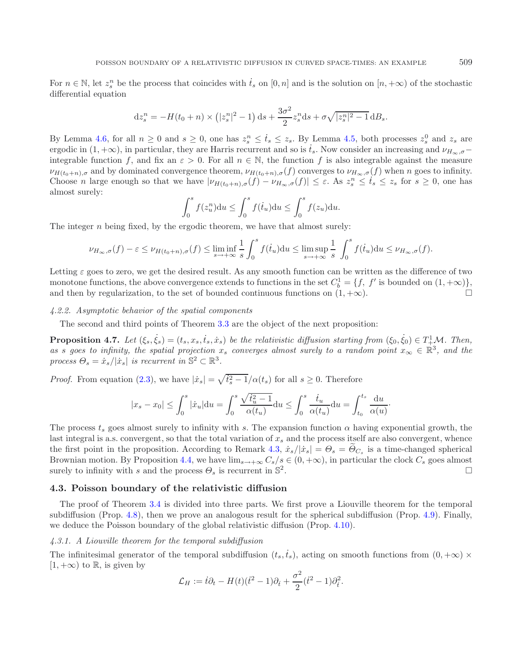For  $n \in \mathbb{N}$ , let  $z_s^n$  be the process that coincides with  $\dot{t}_s$  on  $[0, n]$  and is the solution on  $[n, +\infty)$  of the stochastic differential equation

$$
dz_s^n = -H(t_0 + n) \times (|z_s^n|^2 - 1) ds + \frac{3\sigma^2}{2} z_s^n ds + \sigma \sqrt{|z_s^n|^2 - 1} dB_s.
$$

By Lemma [4.6,](#page-6-2) for all  $n \geq 0$  and  $s \geq 0$ , one has  $z_s^n \leq \dot{t}_s \leq z_s$ . By Lemma [4.5,](#page-6-3) both processes  $z_s^0$  and  $z_s$  are ergodic in  $(1, +\infty)$ , in particular, they are Harris recurrent and so is  $t_s$ . Now consider an increasing and  $\nu_{H_\infty, \sigma}$ integrable function f, and fix an  $\varepsilon > 0$ . For all  $n \in \mathbb{N}$ , the function f is also integrable against the measure  $\nu_{H(t_0+n),\sigma}$  and by dominated convergence theorem,  $\nu_{H(t_0+n),\sigma}(f)$  converges to  $\nu_{H_\infty,\sigma}(f)$  when n goes to infinity. Choose *n* large enough so that we have  $|\nu_{H(t_0+n),\sigma}(f) - \nu_{H_\infty,\sigma}(f)| \leq \varepsilon$ . As  $z_s^n \leq t_s \leq z_s$  for  $s \geq 0$ , one has almost surely:

<span id="page-7-2"></span>
$$
\int_0^s f(z_u^n) \mathrm{d}u \le \int_0^s f(\dot{t}_u) \mathrm{d}u \le \int_0^s f(z_u) \mathrm{d}u.
$$

The integer  $n$  being fixed, by the ergodic theorem, we have that almost surely:

$$
\nu_{H_{\infty},\sigma}(f)-\varepsilon \leq \nu_{H(t_0+n),\sigma}(f) \leq \liminf_{s\to+\infty}\frac{1}{s}\int_0^s f(\dot{t}_u)du \leq \limsup_{s\to+\infty}\frac{1}{s}\int_0^s f(\dot{t}_u)du \leq \nu_{H_{\infty},\sigma}(f).
$$

Letting  $\varepsilon$  goes to zero, we get the desired result. As any smooth function can be written as the difference of two monotone functions, the above convergence extends to functions in the set  $C_b^1 = \{f, f' \text{ is bounded on } (1, +\infty)\}\$ and then by regularization, to the set of bounded continuous functions on  $(1, +\infty)$ .

## *4.2.2. Asymptotic behavior of the spatial components*

The second and third points of Theorem [3.3](#page-4-0) are the object of the next proposition:

**Proposition 4.7.** Let  $(\xi_s, \dot{\xi}_s) = (t_s, x_s, \dot{t}_s, \dot{x}_s)$  be the relativistic diffusion starting from  $(\xi_0, \dot{\xi}_0) \in T^1_+\mathcal{M}$ . Then, as *s* goes to infinity, the spatial projection  $x_s$  converges almost surely to a random point  $x_\infty \in \mathbb{R}^3$ , and the *process*  $\Theta_s = \dot{x}_s / |\dot{x}_s|$  *is recurrent in*  $\mathbb{S}^2 \subset \mathbb{R}^3$ *.* 

*Proof.* From equation [\(2.3\)](#page-2-4), we have  $|\dot{x}_s| = \sqrt{\dot{t}_s^2 - 1}/\alpha(t_s)$  for all  $s \ge 0$ . Therefore

$$
|x_s - x_0| \le \int_0^s |\dot{x}_u| du = \int_0^s \frac{\sqrt{\dot{t}_u^2 - 1}}{\alpha(t_u)} du \le \int_0^s \frac{\dot{t}_u}{\alpha(t_u)} du = \int_{t_0}^{t_s} \frac{du}{\alpha(u)}.
$$

The process  $t_s$  goes almost surely to infinity with s. The expansion function  $\alpha$  having exponential growth, the last integral is a.s. convergent, so that the total variation of  $x_s$  and the process itself are also convergent, whence the first point in the proposition. According to Remark [4.3,](#page-5-3)  $\dot{x}_s/|\dot{x}_s| = \Theta_s = \Theta_{C_s}$  is a time-changed spherical Brownian motion. By Proposition [4.4,](#page-6-1) we have  $\lim_{s\to+\infty} C_s/s \in (0, +\infty)$ , in particular the clock  $C_s$  goes almost surely to infinity with s and the process  $\Theta_s$  is recurrent in  $\mathbb{S}^2$ . surely to infinity with s and the process  $\Theta_s$  is recurrent in  $\mathbb{S}^2$ .

### <span id="page-7-1"></span><span id="page-7-0"></span>**4.3. Poisson boundary of the relativistic diffusion**

The proof of Theorem [3.4](#page-4-1) is divided into three parts. We first prove a Liouville theorem for the temporal subdiffusion (Prop. [4.8\)](#page-7-1), then we prove an analogous result for the spherical subdiffusion (Prop. [4.9\)](#page-9-0). Finally, we deduce the Poisson boundary of the global relativistic diffusion (Prop. [4.10\)](#page-10-0).

## *4.3.1. A Liouville theorem for the temporal subdiffusion*

The infinitesimal generator of the temporal subdiffusion  $(t_s, \dot{t}_s)$ , acting on smooth functions from  $(0, +\infty) \times$  $[1, +\infty)$  to R, is given by

$$
\mathcal{L}_H := \dot{t}\partial_t - H(t)(\dot{t}^2 - 1)\partial_{\dot{t}} + \frac{\sigma^2}{2}(\dot{t}^2 - 1)\partial_{\dot{t}}^2.
$$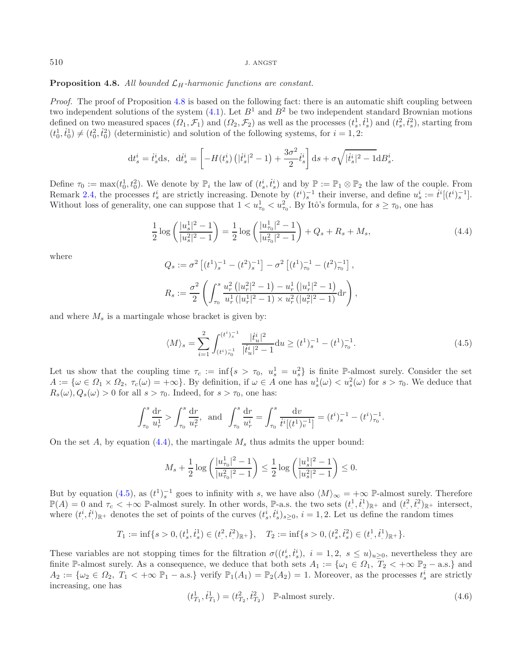#### **Proposition 4.8.** All bounded  $\mathcal{L}_H$ -harmonic functions are constant.

*Proof.* The proof of Proposition [4.8](#page-7-1) is based on the following fact: there is an automatic shift coupling between two independent solutions of the system  $(4.1)$ . Let  $B<sup>1</sup>$  and  $B<sup>2</sup>$  be two independent standard Brownian motions defined on two measured spaces  $(\Omega_1, \mathcal{F}_1)$  and  $(\Omega_2, \mathcal{F}_2)$  as well as the processes  $(t_s^1, \dot{t}_s^1)$  and  $(t_s^2, \dot{t}_s^2)$ , starting from  $(t_0^1, \dot{t}_0^1) \neq (t_0^2, \dot{t}_0^2)$  (deterministic) and solution of the following systems, for  $i = 1, 2$ :

<span id="page-8-0"></span>
$$
dt_s^i = \dot{t}_s^i ds, \ \ dt_s^i = \left[ -H(t_s^i) \left( |\dot{t}_s^i|^2 - 1 \right) + \frac{3\sigma^2}{2} \dot{t}_s^i \right] ds + \sigma \sqrt{|\dot{t}_s^i|^2 - 1} dB_s^i.
$$

Define  $\tau_0 := \max(t_0^1, t_0^2)$ . We denote by  $\mathbb{P}_i$  the law of  $(t_s^i, t_s^i)$  and by  $\mathbb{P} := \mathbb{P}_1 \otimes \mathbb{P}_2$  the law of the couple. From Remark [2.4,](#page-2-3) the processes  $t_s^i$  are strictly increasing. Denote by  $(t^i)^{-1}_s$  their inverse, and define  $u_s^i := \dot{t}^i[(t^i)^{-1}_s]$ . Without loss of generality, one can suppose that  $1 < u_{\tau_0}^1 < u_{\tau_0}^2$ . By Itô's formula, for  $s \ge \tau_0$ , one has

<span id="page-8-1"></span>
$$
\frac{1}{2}\log\left(\frac{|u_s^1|^2 - 1}{|u_s^2|^2 - 1}\right) = \frac{1}{2}\log\left(\frac{|u_{\tau_0}^1|^2 - 1}{|u_{\tau_0}^2|^2 - 1}\right) + Q_s + R_s + M_s,\tag{4.4}
$$

where

$$
Q_s := \sigma^2 \left[ (t^1)^{-1}_s - (t^2)^{-1}_s \right] - \sigma^2 \left[ (t^1)^{-1}_{\tau_0} - (t^2)^{-1}_{\tau_0} \right],
$$
  

$$
R_s := \frac{\sigma^2}{2} \left( \int_{\tau_0}^s \frac{u_r^2 \left( |u_r^2|^2 - 1 \right) - u_r^1 \left( |u_r^1|^2 - 1 \right)}{u_r^1 \left( |u_r^1|^2 - 1 \right) \times u_r^2 \left( |u_r^2|^2 - 1 \right)} dr \right),
$$

and where  $M_s$  is a martingale whose bracket is given by:

$$
\langle M \rangle_s = \sum_{i=1}^2 \int_{(t^i)\tau_0^{-1}}^{(t^i)\zeta^{-1}} \frac{|\dot{t}_u^i|^2}{|\dot{t}_u^i|^2 - 1} \, \mathrm{d}u \ge (t^1)\zeta^{-1} - (t^1)\zeta^{-1}.
$$
\n
$$
(4.5)
$$

Let us show that the coupling time  $\tau_c := \inf\{s > \tau_0, u_s^1 = u_s^2\}$  is finite P-almost surely. Consider the set  $A := \{ \omega \in \Omega_1 \times \Omega_2, \ \tau_c(\omega) = +\infty \}.$  By definition, if  $\omega \in A$  one has  $u_s^1(\omega) < u_s^2(\omega)$  for  $s > \tau_0$ . We deduce that  $R_s(\omega), Q_s(\omega) > 0$  for all  $s > \tau_0$ . Indeed, for  $s > \tau_0$ , one has:

$$
\int_{\tau_0}^s \frac{dr}{u_r^1} > \int_{\tau_0}^s \frac{dr}{u_r^2}, \text{ and } \int_{\tau_0}^s \frac{dr}{u_r^i} = \int_{\tau_0}^s \frac{dv}{\dot{t}^i[(t^1)^{-1}_v]} = (t^i)^{-1}_s - (t^i)^{-1}_{\tau_0}.
$$

<span id="page-8-2"></span>On the set A, by equation [\(4.4\)](#page-8-0), the martingale  $M_s$  thus admits the upper bound:

$$
M_s + \frac{1}{2}\log\left(\frac{|u_{\tau_0}^1|^2 - 1}{|u_{\tau_0}^2|^2 - 1}\right) \le \frac{1}{2}\log\left(\frac{|u_s^1|^2 - 1}{|u_s^2|^2 - 1}\right) \le 0.
$$

But by equation [\(4.5\)](#page-8-1), as  $(t^1)^{-1}$  goes to infinity with s, we have also  $\langle M \rangle_{\infty} = +\infty$  P-almost surely. Therefore  $\mathbb{P}(A) = 0$  and  $\tau_c < +\infty$  P-almost surely. In other words, P-a.s. the two sets  $(t^1, t^1)_{\mathbb{R}^+}$  and  $(t^2, t^2)_{\mathbb{R}^+}$  intersect, where  $(t^i, \dot{t}^i)_{\mathbb{R}^+}$  denotes the set of points of the curves  $(t^i_s, \dot{t}^i_s)_{s \geq 0}$ ,  $i = 1, 2$ . Let us define the random times

$$
T_1 := \inf\{s > 0, (t_s^1, t_s^1) \in (t^2, t^2)_{\mathbb{R}^+}\}, \quad T_2 := \inf\{s > 0, (t_s^2, t_s^2) \in (t^1, t^1)_{\mathbb{R}^+}\}.
$$

These variables are not stopping times for the filtration  $\sigma((t_s^i, \dot{t}_s^i), i = 1, 2, s \le u)_{u \ge 0}$ , nevertheless they are finite P-almost surely. As a consequence, we deduce that both sets  $A_1 := \{ \omega_1 \in \Omega_1, T_2 < +\infty \ \mathbb{P}_2 - \text{a.s.} \}$  and  $A_2 := \{\omega_2 \in \Omega_2, T_1 < +\infty \ \mathbb{P}_1-\text{a.s.}\}\$ verify  $\mathbb{P}_1(A_1) = \mathbb{P}_2(A_2) = 1$ . Moreover, as the processes  $t_s^i$  are strictly increasing, one has

$$
(t_{T_1}^1, \dot{t}_{T_1}^1) = (t_{T_2}^2, \dot{t}_{T_2}^2) \quad \mathbb{P}\text{-almost surely.}
$$
 (4.6)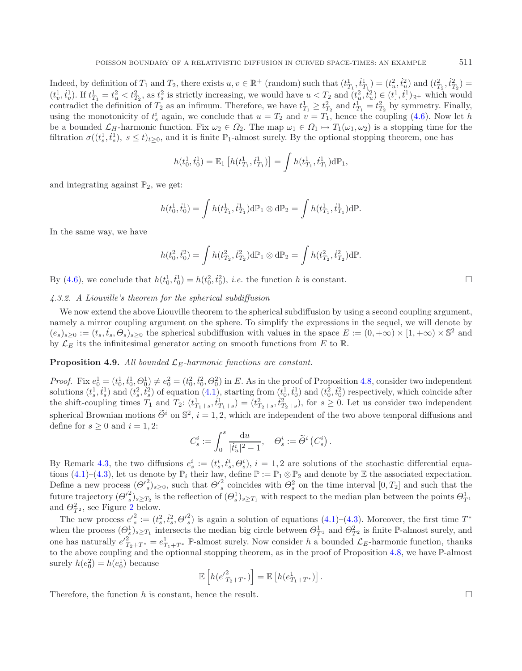Indeed, by definition of  $T_1$  and  $T_2$ , there exists  $u, v \in \mathbb{R}^+$  (random) such that  $(t_{T_1}^1, t_{T_1}^1) = (t_u^2, t_u^2)$  and  $(t_{T_2}^2, t_{T_2}^2) =$  $(t_v^1, t_v^1)$ . If  $t_{T_1}^1 = t_u^2 < t_{T_2}^2$ , as  $t_s^2$  is strictly increasing, we would have  $u < T_2$  and  $(t_u^2, t_u^2) \in (t^1, t^1)_{\mathbb{R}^+}$  which would contradict the definition of  $T_2$  as an infimum. Therefore, we have  $t_{T_1}^1 \geq t_{T_2}^2$  and  $t_{T_1}^1 = t_{T_2}^2$  by symmetry. Finally, using the monotonicity of  $t_s^i$  again, we conclude that  $u = T_2$  and  $v = T_1$ , hence the coupling [\(4.6\)](#page-8-2). Now let h be a bounded  $\mathcal{L}_H$ -harmonic function. Fix  $\omega_2 \in \Omega_2$ . The map  $\omega_1 \in \Omega_1 \mapsto T_1(\omega_1, \omega_2)$  is a stopping time for the filtration  $\sigma((t_s^1, \dot{t}_s^1), s \le t)_{t \ge 0}$ , and it is finite  $\mathbb{P}_1$ -almost surely. By the optional stopping theorem, one has

$$
h(t_0^1, \dot{t}_0^1) = \mathbb{E}_1 \left[ h(t_{T_1}^1, \dot{t}_{T_1}^1) \right] = \int h(t_{T_1}^1, \dot{t}_{T_1}^1) d\mathbb{P}_1,
$$

and integrating against  $\mathbb{P}_2$ , we get:

$$
h(t_0^1, \dot{t}_0^1) = \int h(t_{T_1}^1, \dot{t}_{T_1}^1) d\mathbb{P}_1 \otimes d\mathbb{P}_2 = \int h(t_{T_1}^1, \dot{t}_{T_1}^1) d\mathbb{P}.
$$

In the same way, we have

$$
h(t_0^2, \dot{t}_0^2) = \int h(t_{T_2}^2, \dot{t}_{T_2}^2) d\mathbb{P}_1 \otimes d\mathbb{P}_2 = \int h(t_{T_2}^2, \dot{t}_{T_2}^2) d\mathbb{P}.
$$

By [\(4.6\)](#page-8-2), we conclude that  $h(t_0^1, \dot{t}_0^1) = h(t_0^2, \dot{t}_0^2)$ , *i.e.* the function h is constant.

*4.3.2. A Liouville's theorem for the spherical subdiffusion*

We now extend the above Liouville theorem to the spherical subdiffusion by using a second coupling argument, namely a mirror coupling argument on the sphere. To simplify the expressions in the sequel, we will denote by  $(e_s)_{s\geq 0} := (t_s, t_s, \Theta_s)_{s\geq 0}$  the spherical subdiffusion with values in the space  $E := (0, +\infty) \times [1, +\infty) \times \mathbb{S}^2$  and by  $\mathcal{L}_E$  its the infinitesimal generator acting on smooth functions from E to R.

<span id="page-9-0"></span>**Proposition 4.9.** All bounded  $\mathcal{L}_E$ -harmonic functions are constant.

*Proof.* Fix  $e_0^1 = (t_0^1, t_0^1, \Theta_0^1) \neq e_0^2 = (t_0^2, t_0^2, \Theta_0^2)$  in E. As in the proof of Proposition [4.8,](#page-7-1) consider two independent solutions  $(t_s^1, t_s^1)$  and  $(t_s^2, t_s^2)$  of equation  $(4.1)$ , starting from  $(t_0^1, t_0^1)$  and  $(t_0^2, t_0^2)$  respectively, which coincide after the shift-coupling times  $T_1$  and  $T_2$ :  $(t_{T_1+s}^1, t_{T_1+s}^1) = (t_{T_2+s}^2, t_{T_2+s}^2)$ , for  $s \geq 0$ . Let us consider two independent spherical Brownian motions  $\tilde{\Theta}^i$  on  $\mathbb{S}^2$ ,  $i = 1, 2$ , which are independent of the two above temporal diffusions and define for  $s \geq 0$  and  $i = 1, 2$ :

$$
C_s^i:=\int_0^s \frac{{\rm d} u}{| \dot{t}_u^i|^2-1},\quad \Theta_s^i:=\tilde{\Theta}^i\left(C_s^i\right).
$$

By Remark [4.3,](#page-5-3) the two diffusions  $e_s^i := (t_s^i, \dot{t}_s^i, \Theta_s^i), i = 1, 2$  are solutions of the stochastic differential equa-tions [\(4.1\)](#page-5-2)–[\(4.3\)](#page-5-4), let us denote by  $\mathbb{P}_i$  their law, define  $\mathbb{P} := \mathbb{P}_1 \otimes \mathbb{P}_2$  and denote by  $\mathbb{E}$  the associated expectation. Define a new process  $(\Theta'^2)_{s\geq0}$ , such that  $\Theta'^2$  coincides with  $\Theta^2$  on the time interval  $[0,T_2]$  and such that the future trajectory  $(\Theta_s^2)_{s\geq T_2}$  is the reflection of  $(\Theta_s^1)_{s\geq T_1}$  with respect to the median plan between the points  $\Theta_{T^1}^1$ and  $\Theta_{T^2}^2$  $\Theta_{T^2}^2$  $\Theta_{T^2}^2$ , see Figure 2 below.

The new process  $e_s^2 := (t_s^2, t_s^2, \Theta_s^2)$  is again a solution of equations  $(4.1)$ – $(4.3)$ . Moreover, the first time  $T^*$ when the process  $(\Theta_s^1)_{s\geq T_1}$  intersects the median big circle between  $\Theta_{T_1}^1$  and  $\Theta_{T_2}^2$  is finite P-almost surely, and one has naturally  $e'^{2}_{T_2+T^*} = e^1_{T_1+T^*}$  P-almost surely. Now consider h a bounded  $\mathcal{L}_E$ -harmonic function, thanks to the above coupling and the optionnal stopping theorem, as in the proof of Proposition [4.8,](#page-7-1) we have P-almost surely  $h(e_0^2) = h(e_0^1)$  because

$$
\mathbb{E}\left[h(e'^{2}_{T_2+T^*})\right] = \mathbb{E}\left[h(e^{1}_{T_1+T^*})\right].
$$

Therefore, the function h is constant, hence the result.  $\Box$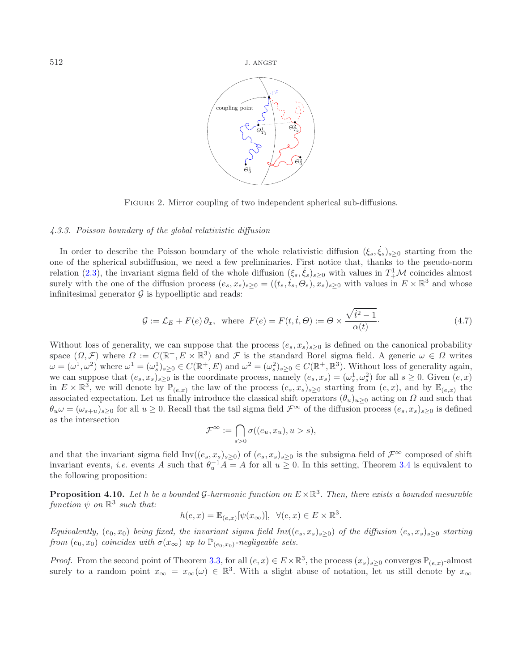<span id="page-10-1"></span>

<span id="page-10-2"></span>FIGURE 2. Mirror coupling of two independent spherical sub-diffusions.

## *4.3.3. Poisson boundary of the global relativistic diffusion*

In order to describe the Poisson boundary of the whole relativistic diffusion  $(\xi_s, \xi_s)_{s\geq 0}$  starting from the one of the spherical subdiffusion, we need a few preliminaries. First notice that, thanks to the pseudo-norm relation [\(2.3\)](#page-2-4), the invariant sigma field of the whole diffusion  $(\xi_s, \xi_s)_{s\geq 0}$  with values in  $T^1_+\mathcal{M}$  coincides almost surely with the one of the diffusion process  $(e_s, x_s)_{s\geq 0} = ((t_s, t_s, \Theta_s), x_s)_{s\geq 0}$  with values in  $E \times \mathbb{R}^3$  and whose infinitesimal generator  $\mathcal G$  is hypoelliptic and reads:

$$
\mathcal{G} := \mathcal{L}_E + F(e)\,\partial_x, \text{ where } F(e) = F(t, \dot{t}, \Theta) := \Theta \times \frac{\sqrt{\dot{t}^2 - 1}}{\alpha(t)}.
$$
\n(4.7)

Without loss of generality, we can suppose that the process  $(e_s, x_s)_{s\geq 0}$  is defined on the canonical probability space  $(\Omega, \mathcal{F})$  where  $\Omega := C(\mathbb{R}^+, E \times \mathbb{R}^3)$  and  $\mathcal{F}$  is the standard Borel sigma field. A generic  $\omega \in \Omega$  writes  $\omega = (\omega^1, \omega^2)$  where  $\omega^1 = (\omega_s^1)_{s \geq 0} \in C(\mathbb{R}^+, E)$  and  $\omega^2 = (\omega_s^2)_{s \geq 0} \in C(\mathbb{R}^+, \mathbb{R}^3)$ . Without loss of generality again, we can suppose that  $(e_s, x_s)_{s\geq 0}$  is the coordinate process, namely  $(e_s, x_s)=(\omega_s^1, \omega_s^2)$  for all  $s\geq 0$ . Given  $(e, x)$ in  $E \times \mathbb{R}^3$ , we will denote by  $\mathbb{P}_{(e,x)}$  the law of the process  $(e_s, x_s)_{s\geq 0}$  starting from  $(e, x)$ , and by  $\mathbb{E}_{(e,x)}$  the associated expectation. Let us finally introduce the classical shift operators  $(\theta_u)_{u>0}$  acting on  $\Omega$  and such that  $\theta_u \omega = (\omega_{s+u})_{s\geq 0}$  for all  $u \geq 0$ . Recall that the tail sigma field  $\mathcal{F}^{\infty}$  of the diffusion process  $(e_s, x_s)_{s\geq 0}$  is defined as the intersection

$$
\mathcal{F}^\infty:=\bigcap_{s>0}\sigma((e_u,x_u),u>s),
$$

and that the invariant sigma field  $Inv((e_s, x_s)_{s\geq 0})$  of  $(e_s, x_s)_{s\geq 0}$  is the subsigma field of  $\mathcal{F}^{\infty}$  composed of shift invariant events, *i.e.* events A such that  $\theta_u^{-1}A = A$  for all  $u \geq 0$ . In this setting, Theorem [3.4](#page-4-1) is equivalent to the following proposition:

<span id="page-10-0"></span>**Proposition 4.10.** *Let* h *be a bounded* G-harmonic function on  $E \times \mathbb{R}^3$ . Then, there exists a bounded mesurable *function*  $\psi$  *on*  $\mathbb{R}^3$  *such that:* 

$$
h(e,x) = \mathbb{E}_{(e,x)}[\psi(x_{\infty})], \ \forall (e,x) \in E \times \mathbb{R}^3.
$$

*Equivalently,*  $(e_0, x_0)$  *being fixed, the invariant sigma field Inv* $((e_s, x_s)_{s>0})$  *of the diffusion*  $(e_s, x_s)_{s>0}$  *starting from*  $(e_0, x_0)$  *coincides with*  $\sigma(x_\infty)$  *up to*  $\mathbb{P}_{(e_0, x_0)}$ *-negligeable sets.* 

*Proof.* From the second point of Theorem [3.3,](#page-4-0) for all  $(e, x) \in E \times \mathbb{R}^3$ , the process  $(x_s)_{s \geq 0}$  converges  $\mathbb{P}_{(e,x)}$ -almost surely to a random point  $x_{\infty} = x_{\infty}(\omega) \in \mathbb{R}^{3}$ . With a slight abuse of notation, let us still denote by  $x_{\infty}$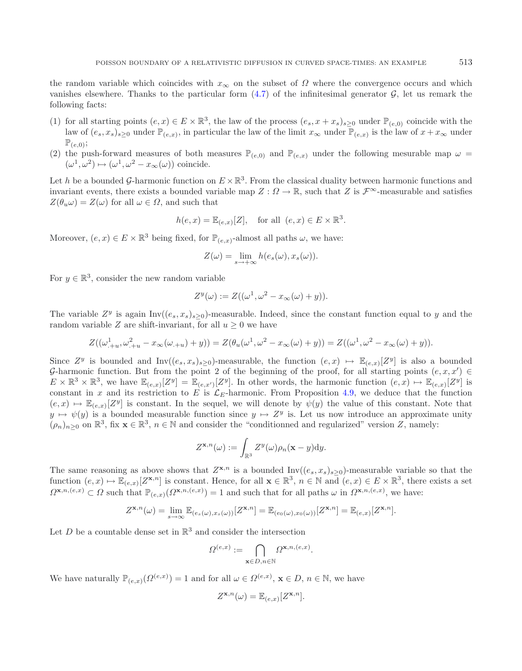the random variable which coincides with  $x_{\infty}$  on the subset of  $\Omega$  where the convergence occurs and which vanishes elsewhere. Thanks to the particular form  $(4.7)$  of the infinitesimal generator G, let us remark the following facts:

- (1) for all starting points  $(e, x) \in E \times \mathbb{R}^3$ , the law of the process  $(e_s, x + x_s)_{s \geq 0}$  under  $\mathbb{P}_{(e,0)}$  coincide with the law of  $(e_s, x_s)_{s\geq0}$  under  $\mathbb{P}_{(e,x)}$ , in particular the law of the limit  $x_\infty$  under  $\mathbb{P}_{(e,x)}$  is the law of  $x + x_\infty$  under  $\mathbb{P}_{(e,0)}$ ;
- (2) the push-forward measures of both measures  $\mathbb{P}_{(e,0)}$  and  $\mathbb{P}_{(e,x)}$  under the following mesurable map  $\omega =$  $(\omega^1, \omega^2) \mapsto (\omega^1, \omega^2 - x_{\infty}(\omega))$  coincide.

Let h be a bounded G-harmonic function on  $E \times \mathbb{R}^3$ . From the classical duality between harmonic functions and invariant events, there exists a bounded variable map  $Z: \Omega \to \mathbb{R}$ , such that Z is  $\mathcal{F}^{\infty}$ -measurable and satisfies  $Z(\theta_u \omega) = Z(\omega)$  for all  $\omega \in \Omega$ , and such that

$$
h(e,x) = \mathbb{E}_{(e,x)}[Z], \quad \text{for all } (e,x) \in E \times \mathbb{R}^3.
$$

Moreover,  $(e, x) \in E \times \mathbb{R}^3$  being fixed, for  $\mathbb{P}_{(e,x)}$ -almost all paths  $\omega$ , we have:

$$
Z(\omega) = \lim_{s \to +\infty} h(e_s(\omega), x_s(\omega)).
$$

For  $y \in \mathbb{R}^3$ , consider the new random variable

$$
Z^y(\omega) := Z((\omega^1, \omega^2 - x_{\infty}(\omega) + y)).
$$

The variable  $Z^y$  is again Inv $((e_s, x_s)_{s>0})$ -measurable. Indeed, since the constant function equal to y and the random variable Z are shift-invariant, for all  $u \geq 0$  we have

$$
Z((\omega_{.+u}^{1}, \omega_{.+u}^{2} - x_{\infty}(\omega_{.+u}) + y)) = Z(\theta_{u}(\omega^{1}, \omega^{2} - x_{\infty}(\omega) + y)) = Z((\omega^{1}, \omega^{2} - x_{\infty}(\omega) + y)).
$$

Since  $Z^y$  is bounded and  $Inv((e_s, x_s)_{s>0})$ -measurable, the function  $(e, x) \mapsto \mathbb{E}_{(e,x)}[Z^y]$  is also a bounded G-harmonic function. But from the point 2 of the beginning of the proof, for all starting points  $(e, x, x') \in$  $E \times \mathbb{R}^3 \times \mathbb{R}^3$ , we have  $\mathbb{E}_{(e,x)}[Z^y] = \mathbb{E}_{(e,x')}[Z^y]$ . In other words, the harmonic function  $(e, x) \mapsto \mathbb{E}_{(e,x)}[Z^y]$  is constant in x and its restriction to E is  $\mathcal{L}_E$ -harmonic. From Proposition [4.9,](#page-9-0) we deduce that the function  $(e, x) \mapsto \mathbb{E}_{(e,x)}[Z^y]$  is constant. In the sequel, we will denote by  $\psi(y)$  the value of this constant. Note that  $y \mapsto \psi(y)$  is a bounded measurable function since  $y \mapsto Z^y$  is. Let us now introduce an approximate unity  $(\rho_n)_{n\geq 0}$  on  $\mathbb{R}^3$ , fix  $\mathbf{x} \in \mathbb{R}^3$ ,  $n \in \mathbb{N}$  and consider the "conditionned and regularized" version Z, namely:

$$
Z^{\mathbf{x},n}(\omega) := \int_{\mathbb{R}^3} Z^y(\omega) \rho_n(\mathbf{x} - y) \mathrm{d}y.
$$

The same reasoning as above shows that  $Z^{\mathbf{x},n}$  is a bounded Inv( $(e_s, x_s)_{s\geq 0}$ )-measurable variable so that the function  $(e, x) \mapsto \mathbb{E}_{(e, x)}[Z^{\mathbf{x}, n}]$  is constant. Hence, for all  $\mathbf{x} \in \mathbb{R}^3$ ,  $n \in \mathbb{N}$  and  $(e, x) \in E \times \mathbb{R}^3$ , there exists a set  $\Omega^{\mathbf{x},n,(e,x)} \subset \Omega$  such that  $\mathbb{P}_{(e,x)}(\Omega^{\mathbf{x},n,(e,x)}) = 1$  and such that for all paths  $\omega$  in  $\Omega^{\mathbf{x},n,(e,x)}$ , we have:

$$
Z^{\mathbf{x},n}(\omega) = \lim_{s \to \infty} \mathbb{E}_{(e_s(\omega), x_s(\omega))}[Z^{\mathbf{x},n}] = \mathbb{E}_{(e_0(\omega), x_0(\omega))}[Z^{\mathbf{x},n}] = \mathbb{E}_{(e,x)}[Z^{\mathbf{x},n}].
$$

Let D be a countable dense set in  $\mathbb{R}^3$  and consider the intersection

$$
\varOmega^{(e,x)}:=\bigcap_{\mathbf{x}\in D,n\in\mathbb{N}}\varOmega^{\mathbf{x},n,(e,x)}.
$$

We have naturally  $\mathbb{P}_{(e,x)}(\Omega^{(e,x)}) = 1$  and for all  $\omega \in \Omega^{(e,x)}$ ,  $\mathbf{x} \in D, n \in \mathbb{N}$ , we have

$$
Z^{\mathbf{x},n}(\omega) = \mathbb{E}_{(e,x)}[Z^{\mathbf{x},n}].
$$